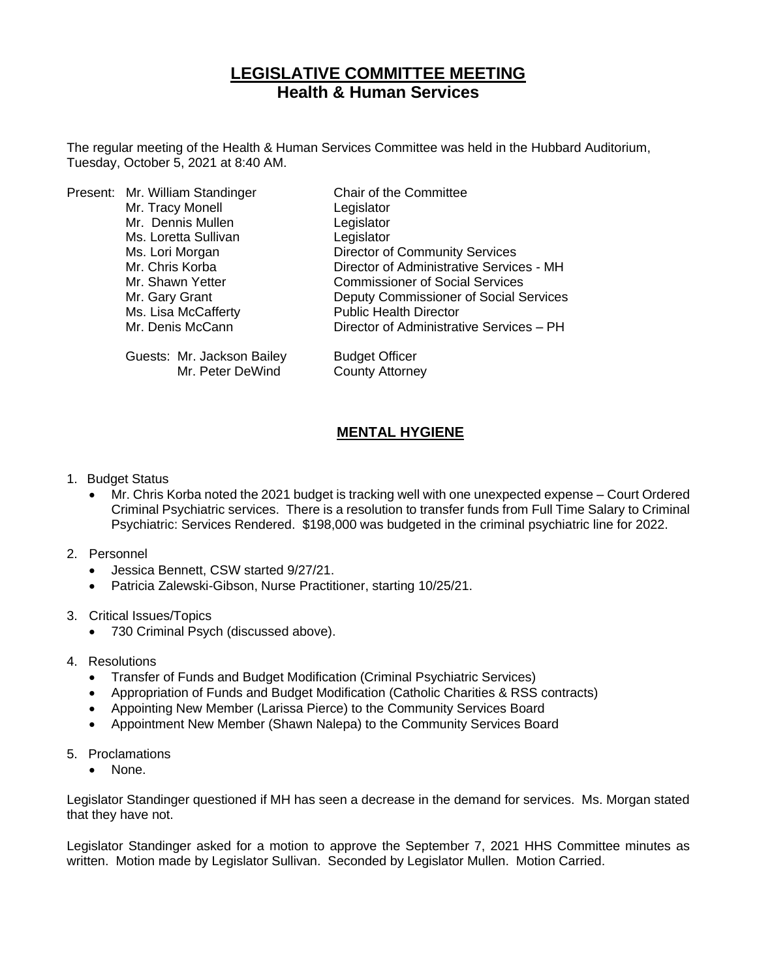## **LEGISLATIVE COMMITTEE MEETING Health & Human Services**

The regular meeting of the Health & Human Services Committee was held in the Hubbard Auditorium, Tuesday, October 5, 2021 at 8:40 AM.

|  | Present: Mr. William Standinger | Chair of the Committee                   |
|--|---------------------------------|------------------------------------------|
|  | Mr. Tracy Monell                | Legislator                               |
|  | Mr. Dennis Mullen               | Legislator                               |
|  | Ms. Loretta Sullivan            | Legislator                               |
|  | Ms. Lori Morgan                 | <b>Director of Community Services</b>    |
|  | Mr. Chris Korba                 | Director of Administrative Services - MH |
|  | Mr. Shawn Yetter                | <b>Commissioner of Social Services</b>   |
|  | Mr. Gary Grant                  | Deputy Commissioner of Social Services   |
|  | Ms. Lisa McCafferty             | <b>Public Health Director</b>            |
|  | Mr. Denis McCann                | Director of Administrative Services - PH |
|  | Guests: Mr. Jackson Bailey      | <b>Budget Officer</b>                    |
|  | Mr. Peter DeWind                | <b>County Attorney</b>                   |

## **MENTAL HYGIENE**

- 1. Budget Status
	- Mr. Chris Korba noted the 2021 budget is tracking well with one unexpected expense Court Ordered Criminal Psychiatric services. There is a resolution to transfer funds from Full Time Salary to Criminal Psychiatric: Services Rendered. \$198,000 was budgeted in the criminal psychiatric line for 2022.
- 2. Personnel
	- Jessica Bennett, CSW started 9/27/21.
	- Patricia Zalewski-Gibson, Nurse Practitioner, starting 10/25/21.
- 3. Critical Issues/Topics
	- 730 Criminal Psych (discussed above).
- 4. Resolutions
	- Transfer of Funds and Budget Modification (Criminal Psychiatric Services)
	- Appropriation of Funds and Budget Modification (Catholic Charities & RSS contracts)
	- Appointing New Member (Larissa Pierce) to the Community Services Board
	- Appointment New Member (Shawn Nalepa) to the Community Services Board
- 5. Proclamations
	- None.

Legislator Standinger questioned if MH has seen a decrease in the demand for services. Ms. Morgan stated that they have not.

Legislator Standinger asked for a motion to approve the September 7, 2021 HHS Committee minutes as written. Motion made by Legislator Sullivan. Seconded by Legislator Mullen. Motion Carried.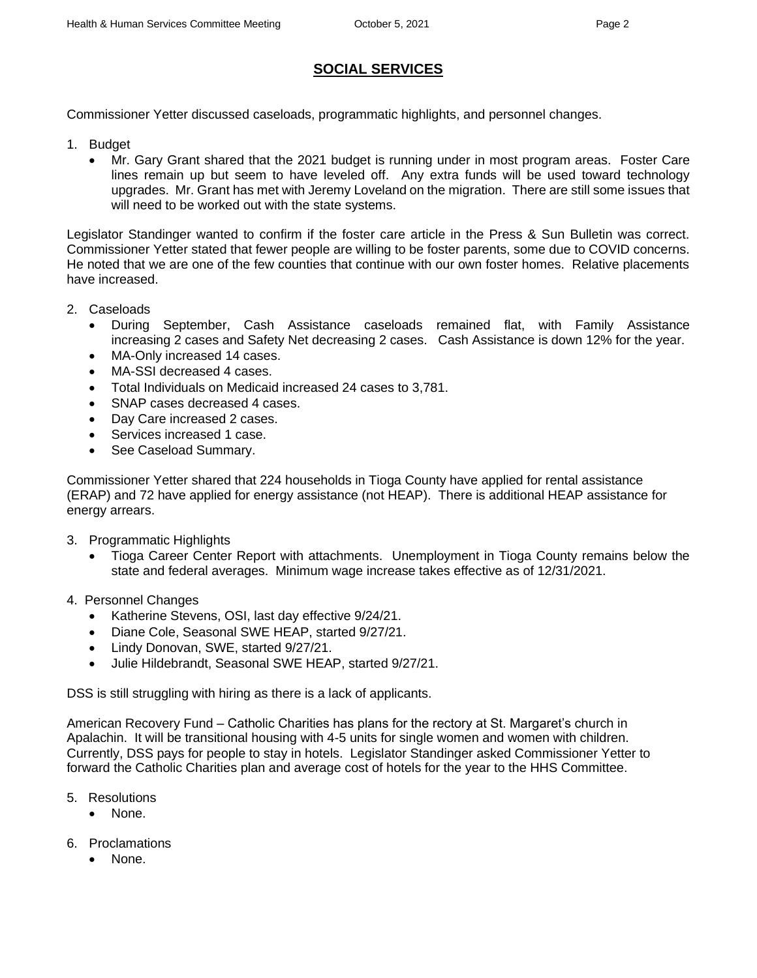## **SOCIAL SERVICES**

Commissioner Yetter discussed caseloads, programmatic highlights, and personnel changes.

- 1. Budget
	- Mr. Gary Grant shared that the 2021 budget is running under in most program areas. Foster Care lines remain up but seem to have leveled off. Any extra funds will be used toward technology upgrades. Mr. Grant has met with Jeremy Loveland on the migration. There are still some issues that will need to be worked out with the state systems.

Legislator Standinger wanted to confirm if the foster care article in the Press & Sun Bulletin was correct. Commissioner Yetter stated that fewer people are willing to be foster parents, some due to COVID concerns. He noted that we are one of the few counties that continue with our own foster homes. Relative placements have increased.

- 2. Caseloads
	- During September, Cash Assistance caseloads remained flat, with Family Assistance increasing 2 cases and Safety Net decreasing 2 cases. Cash Assistance is down 12% for the year.
	- MA-Only increased 14 cases.
	- MA-SSI decreased 4 cases.
	- Total Individuals on Medicaid increased 24 cases to 3,781.
	- SNAP cases decreased 4 cases.
	- Day Care increased 2 cases.
	- Services increased 1 case.
	- See Caseload Summary.

Commissioner Yetter shared that 224 households in Tioga County have applied for rental assistance (ERAP) and 72 have applied for energy assistance (not HEAP). There is additional HEAP assistance for energy arrears.

- 3. Programmatic Highlights
	- Tioga Career Center Report with attachments. Unemployment in Tioga County remains below the state and federal averages. Minimum wage increase takes effective as of 12/31/2021.
- 4. Personnel Changes
	- Katherine Stevens, OSI, last day effective 9/24/21.
	- Diane Cole, Seasonal SWE HEAP, started 9/27/21.
	- Lindy Donovan, SWE, started 9/27/21.
	- Julie Hildebrandt, Seasonal SWE HEAP, started 9/27/21.

DSS is still struggling with hiring as there is a lack of applicants.

American Recovery Fund – Catholic Charities has plans for the rectory at St. Margaret's church in Apalachin. It will be transitional housing with 4-5 units for single women and women with children. Currently, DSS pays for people to stay in hotels. Legislator Standinger asked Commissioner Yetter to forward the Catholic Charities plan and average cost of hotels for the year to the HHS Committee.

- 5. Resolutions
	- None.
- 6. Proclamations
	- None.